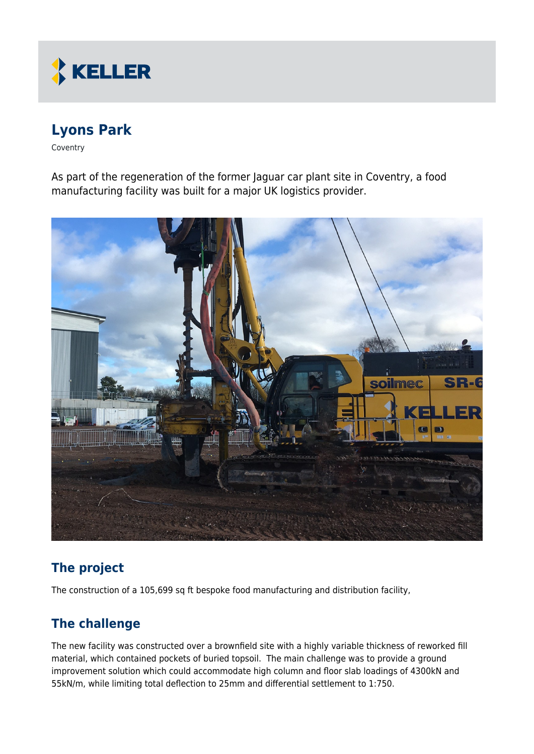

# **Lyons Park**

Coventry

As part of the regeneration of the former Jaguar car plant site in Coventry, a food manufacturing facility was built for a major UK logistics provider.



# **The project**

The construction of a 105,699 sq ft bespoke food manufacturing and distribution facility,

## **The challenge**

The new facility was constructed over a brownfield site with a highly variable thickness of reworked fill material, which contained pockets of buried topsoil. The main challenge was to provide a ground improvement solution which could accommodate high column and floor slab loadings of 4300kN and 55kN/m, while limiting total deflection to 25mm and differential settlement to 1:750.